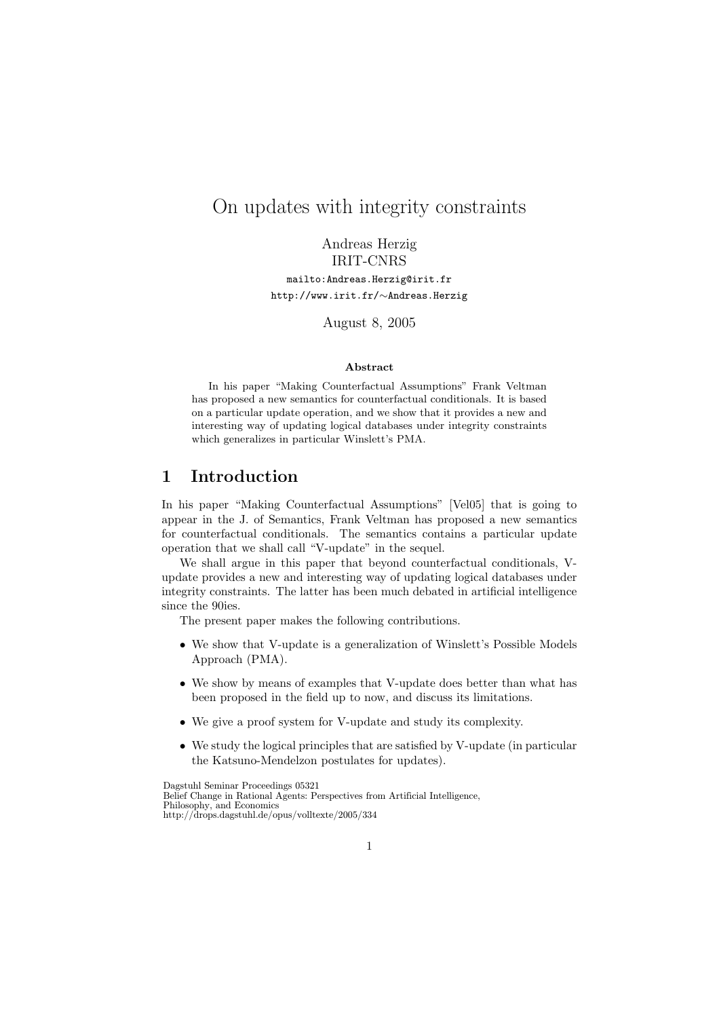# On updates with integrity constraints

Andreas Herzig IRIT-CNRS mailto:Andreas.Herzig@irit.fr http://www.irit.fr/∼Andreas.Herzig

August 8, 2005

#### Abstract

In his paper "Making Counterfactual Assumptions" Frank Veltman has proposed a new semantics for counterfactual conditionals. It is based on a particular update operation, and we show that it provides a new and interesting way of updating logical databases under integrity constraints which generalizes in particular Winslett's PMA.

# 1 Introduction

In his paper "Making Counterfactual Assumptions" [Vel05] that is going to appear in the J. of Semantics, Frank Veltman has proposed a new semantics for counterfactual conditionals. The semantics contains a particular update operation that we shall call "V-update" in the sequel.

We shall argue in this paper that beyond counterfactual conditionals, Vupdate provides a new and interesting way of updating logical databases under integrity constraints. The latter has been much debated in artificial intelligence since the 90ies.

The present paper makes the following contributions.

- We show that V-update is a generalization of Winslett's Possible Models Approach (PMA).
- We show by means of examples that V-update does better than what has been proposed in the field up to now, and discuss its limitations.
- We give a proof system for V-update and study its complexity.
- We study the logical principles that are satisfied by V-update (in particular the Katsuno-Mendelzon postulates for updates).

Dagstuhl Seminar Proceedings 05321 Belief Change in Rational Agents: Perspectives from Artificial Intelligence, Philosophy, and Economics http://drops.dagstuhl.de/opus/volltexte/2005/334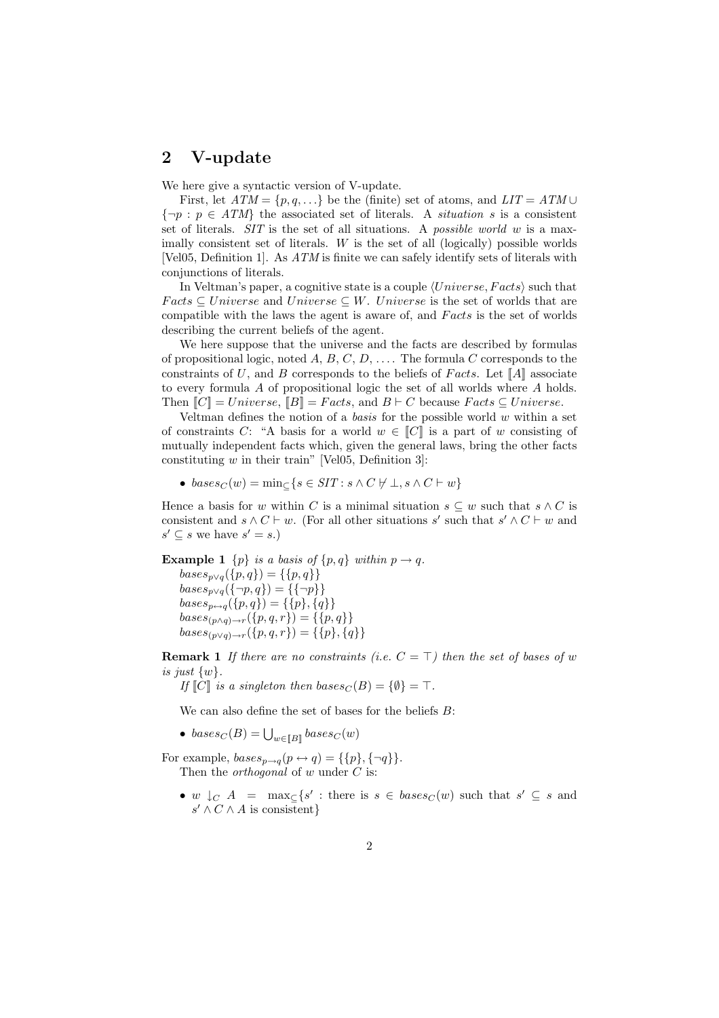### 2 V-update

We here give a syntactic version of V-update.

First, let  $ATM = \{p, q, ...\}$  be the (finite) set of atoms, and  $LIT = ATM \cup$  ${\neg p : p \in ATM}$  the associated set of literals. A *situation s* is a consistent set of literals.  $SIT$  is the set of all situations. A *possible world*  $w$  is a maximally consistent set of literals.  $W$  is the set of all (logically) possible worlds [Vel05, Definition 1]. As ATM is finite we can safely identify sets of literals with conjunctions of literals.

In Veltman's paper, a cognitive state is a couple  $\langle Universe, Facts \rangle$  such that Facts  $\subseteq$  Universe and Universe  $\subseteq$  W. Universe is the set of worlds that are compatible with the laws the agent is aware of, and Facts is the set of worlds describing the current beliefs of the agent.

We here suppose that the universe and the facts are described by formulas of propositional logic, noted A, B, C, D,  $\dots$ . The formula C corresponds to the constraints of U, and B corresponds to the beliefs of Facts. Let  $\llbracket A \rrbracket$  associate to every formula A of propositional logic the set of all worlds where A holds. Then  $[[C]] = Universe, [[B]] = Facts,$  and  $B \vdash C$  because  $Facts \subseteq Universe.$ 

Veltman defines the notion of a *basis* for the possible world  $w$  within a set of constraints C: "A basis for a world  $w \in \llbracket C \rrbracket$  is a part of w consisting of mutually independent facts which, given the general laws, bring the other facts constituting  $w$  in their train" [Vel05, Definition 3]:

•  $bases_C(w) = \min_{\sub{S} \in SIT : s \land C \not\vdash \bot, s \land C \vdash w}$ 

Hence a basis for w within C is a minimal situation  $s \subseteq w$  such that  $s \wedge C$  is consistent and  $s \wedge C \vdash w$ . (For all other situations s' such that  $s' \wedge C \vdash w$  and  $s' \subseteq s$  we have  $s' = s$ .)

**Example 1** {p} is a basis of {p, q} within  $p \rightarrow q$ .  $bases_{p\vee q}(\{p, q\}) = \{\{p, q\}\}\$  $bases_{p\vee q}(\{\neg p, q\}) = \{\{\neg p\}\}\$  $bases_{p \leftrightarrow q}(\{p, q\}) = \{\{p\}, \{q\}\}\$  $bases_{(p \wedge q) \rightarrow r}(\{p, q, r\}) = \{\{p, q\}\}\$  $bases_{(p\vee q)\rightarrow r}(\{p,q,r\}) = \{\{p\},\{q\}\}\$ 

**Remark 1** If there are no constraints (i.e.  $C = T$ ) then the set of bases of w is just  $\{w\}$ .

If  $\llbracket C \rrbracket$  is a singleton then bases $_C(B) = \{ \emptyset \} = \top$ .

We can also define the set of bases for the beliefs  $B$ :

• bases $_C(B) = \bigcup_{w \in [B]} bases_C(w)$ 

For example,  $bases_{p\rightarrow q}(p \leftrightarrow q) = \{\{p\}, \{\neg q\}\}.$ Then the *orthogonal* of  $w$  under  $C$  is:

• w  $\downarrow_C A$  = max<sub> $\subseteq$ </sub>{s': there is  $s \in bases_C(w)$  such that  $s' \subseteq s$  and  $s' \wedge C \wedge A$  is consistent}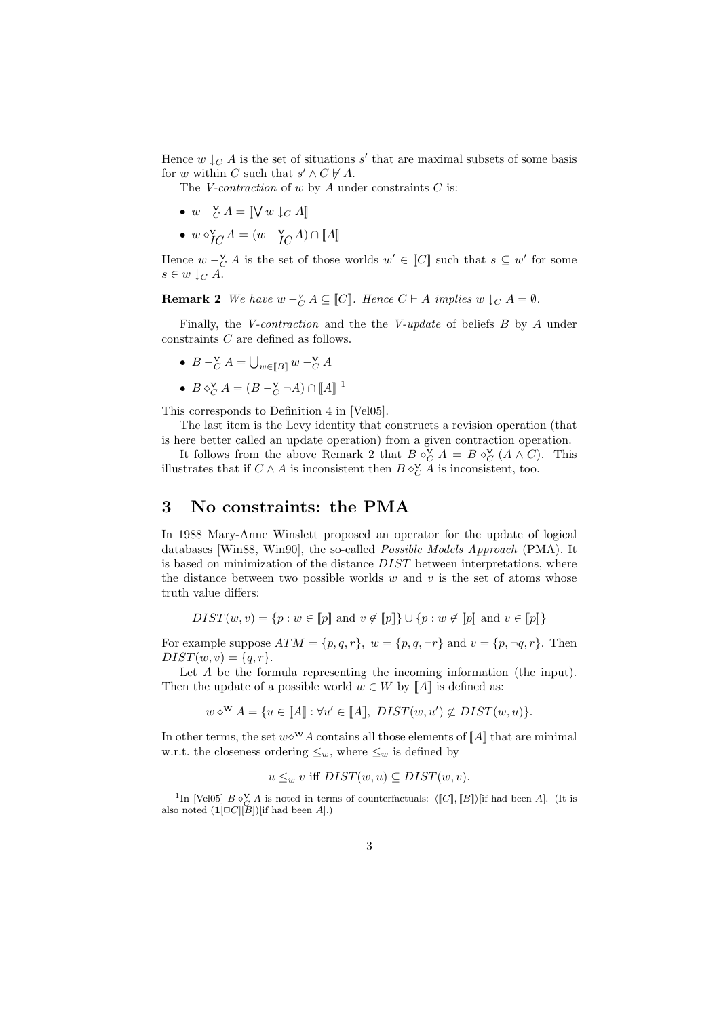Hence  $w \downarrow_C A$  is the set of situations s' that are maximal subsets of some basis for w within C such that  $s' \wedge C \not\vdash A$ .

The V-contraction of  $w$  by  $A$  under constraints  $C$  is:

- $w C A = \llbracket \bigvee w \downarrow_C A \rrbracket$
- $\bullet \ w \diamond^{\mathbf{V}}_{IC} A = (w {}_{IC}^{\mathbf{V}} A) \cap [ \hspace{-0.65mm} [ A] \hspace{-0.65mm} ]$

Hence  $w -C$  A is the set of those worlds  $w' \in \llbracket C \rrbracket$  such that  $s \subseteq w'$  for some  $s \in w \downarrow_C A$ .

**Remark 2** We have 
$$
w - C A \subseteq [C]
$$
. Hence  $C \vdash A$  implies  $w \downarrow_C A = \emptyset$ .

Finally, the V-contraction and the the V-update of beliefs B by A under constraints C are defined as follows.

- $B C A = \bigcup_{w \in [B]} w C A$
- $B \otimes_C^{\mathbf{V}} A = (B -_C^{\mathbf{V}} \neg A) \cap [A]^{1}$

This corresponds to Definition 4 in [Vel05].

The last item is the Levy identity that constructs a revision operation (that is here better called an update operation) from a given contraction operation.

It follows from the above Remark 2 that  $B \otimes_C^{\mathbf{V}} A = B \otimes_C^{\mathbf{V}} (A \wedge C)$ . This illustrates that if  $C \wedge A$  is inconsistent then  $B \otimes_C^{\mathbf{V}} A$  is inconsistent, too.

#### 3 No constraints: the PMA

In 1988 Mary-Anne Winslett proposed an operator for the update of logical databases [Win88, Win90], the so-called Possible Models Approach (PMA). It is based on minimization of the distance DIST between interpretations, where the distance between two possible worlds  $w$  and  $v$  is the set of atoms whose truth value differs:

$$
DIST(w, v) = \{p : w \in [p] \text{ and } v \notin [p] \} \cup \{p : w \notin [p] \text{ and } v \in [p] \}
$$

For example suppose  $ATM = \{p, q, r\}$ ,  $w = \{p, q, \neg r\}$  and  $v = \{p, \neg q, r\}$ . Then  $DIST(w, v) = \{q, r\}.$ 

Let A be the formula representing the incoming information (the input). Then the update of a possible world  $w \in W$  by  $\llbracket A \rrbracket$  is defined as:

 $w \diamond^{\mathbf{w}} A = \{u \in [A] : \forall u' \in [A], \; DIST(w, u') \not\subset DIST(w, u)\}.$ 

In other terms, the set  $w \diamond^{\mathbf{w}} A$  contains all those elements of  $\llbracket A \rrbracket$  that are minimal w.r.t. the closeness ordering  $\leq_w$ , where  $\leq_w$  is defined by

$$
u \leq_w v
$$
 iff  $DIST(w, u) \subseteq DIST(w, v)$ .

<sup>&</sup>lt;sup>1</sup>In [Vel05]  $B \otimes^{\mathbf{V}}_{C} A$  is noted in terms of counterfactuals:  $\langle [C], [B] \rangle$  [if had been A]. (It is also noted  $(1[\Box C][B])[if$  had been A.)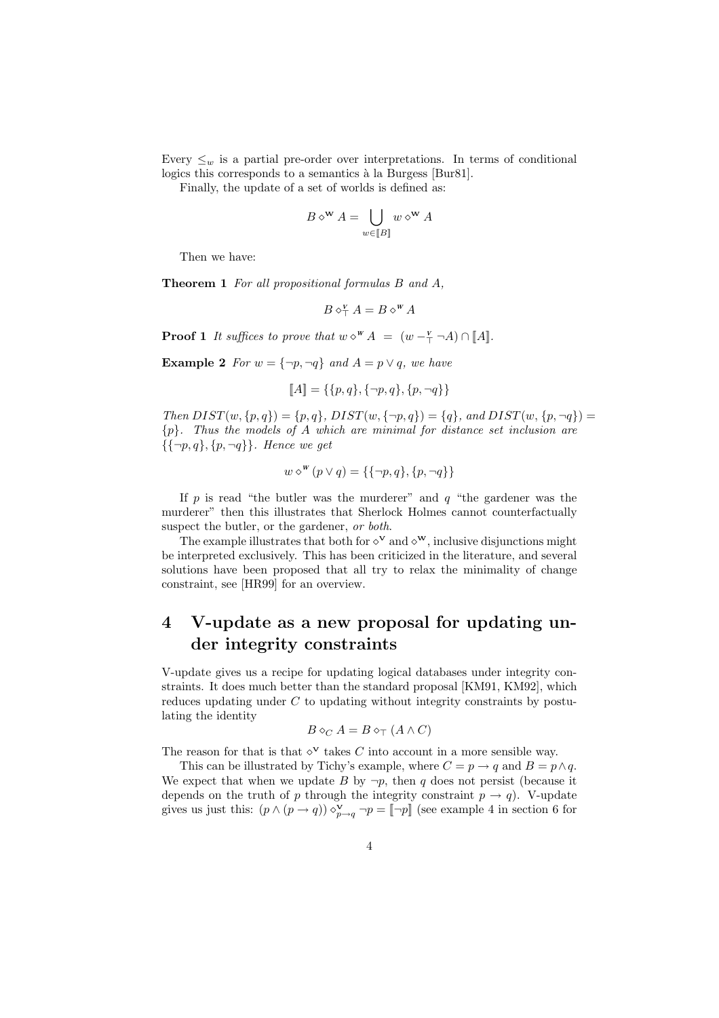Every  $\leq_w$  is a partial pre-order over interpretations. In terms of conditional logics this corresponds to a semantics à la Burgess [Bur81].

Finally, the update of a set of worlds is defined as:

$$
B \diamond^{\mathbf{W}} A = \bigcup_{w \in [B]} w \diamond^{\mathbf{W}} A
$$

Then we have:

Theorem 1 For all propositional formulas B and A,

$$
B \diamond^{\mathbf{v}}_{\top} A = B \diamond^{\mathbf{w}} A
$$

**Proof 1** It suffices to prove that  $w \diamond^W A = (w - A) \cap [A].$ 

**Example 2** For  $w = \{\neg p, \neg q\}$  and  $A = p \lor q$ , we have

$$
[\![A]\!] = \{ \{p,q\}, \{\neg p,q\}, \{p,\neg q\} \}
$$

 $Then \, DIST(w, \{p, q\}) = \{p, q\}, \, DIST(w, \{\neg p, q\}) = \{q\}, \, and \, DIST(w, \{p, \neg q\}) =$  $\{p\}$ . Thus the models of A which are minimal for distance set inclusion are  $\{\{\neg p, q\}, \{p, \neg q\}\}.$  Hence we get

$$
w \diamond^{\mathbf{w}} (p \vee q) = \{\{\neg p, q\}, \{p, \neg q\}\}\
$$

If p is read "the butler was the murderer" and  $q$  "the gardener was the murderer" then this illustrates that Sherlock Holmes cannot counterfactually suspect the butler, or the gardener, *or both*.

The example illustrates that both for  $\Diamond^{\vee}$  and  $\Diamond^{\vee}$ , inclusive disjunctions might be interpreted exclusively. This has been criticized in the literature, and several solutions have been proposed that all try to relax the minimality of change constraint, see [HR99] for an overview.

# 4 V-update as a new proposal for updating under integrity constraints

V-update gives us a recipe for updating logical databases under integrity constraints. It does much better than the standard proposal [KM91, KM92], which reduces updating under C to updating without integrity constraints by postulating the identity

$$
B \diamond_C A = B \diamond_{\top} (A \wedge C)
$$

The reason for that is that  $\diamond^{\mathbf{v}}$  takes C into account in a more sensible way.

This can be illustrated by Tichy's example, where  $C = p \rightarrow q$  and  $B = p \land q$ . We expect that when we update B by  $\neg p$ , then q does not persist (because it depends on the truth of p through the integrity constraint  $p \to q$ . V-update gives us just this:  $(p \wedge (p \rightarrow q)) \diamond_{p \rightarrow q}^{\mathbf{V}} \neg p = [\neg p]$  (see example 4 in section 6 for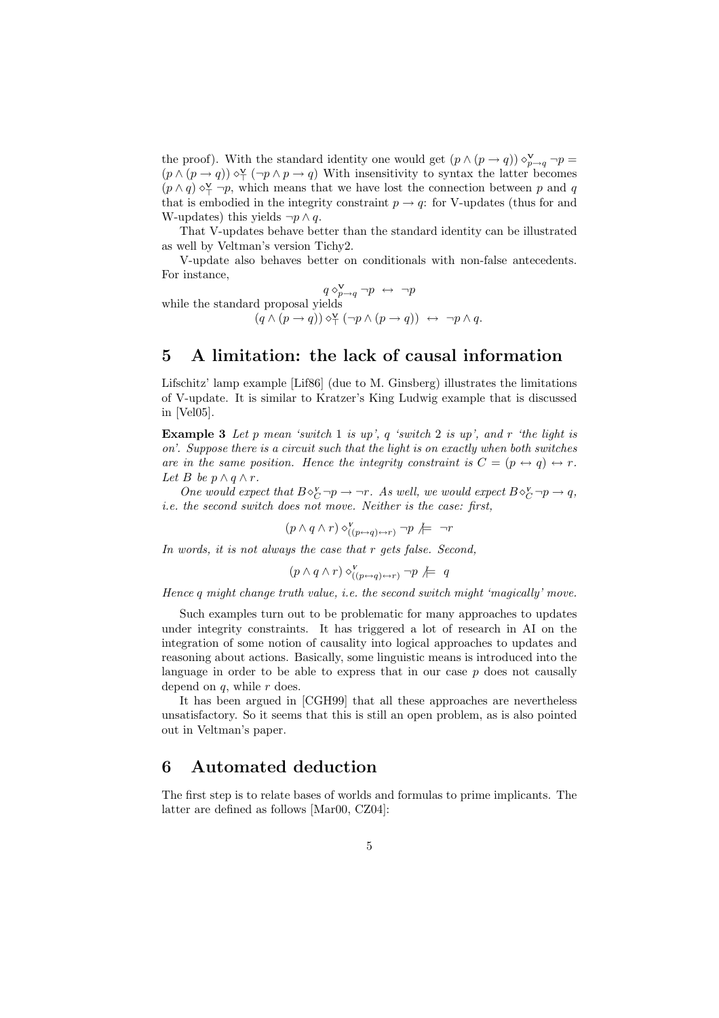the proof). With the standard identity one would get  $(p \wedge (p \rightarrow q)) \diamond_{p \rightarrow q}^{\mathbf{V}} \neg p =$  $(p \wedge (p \rightarrow q)) \diamond^{\mathbf{V}}_{\top} (\neg p \wedge p \rightarrow q)$  With insensitivity to syntax the latter becomes  $(p \wedge q) \diamond^{\mathbf{V}}_{\top} \neg p$ , which means that we have lost the connection between p and q that is embodied in the integrity constraint  $p \to q$ : for V-updates (thus for and W-updates) this yields  $\neg p \land q$ .

That V-updates behave better than the standard identity can be illustrated as well by Veltman's version Tichy2.

V-update also behaves better on conditionals with non-false antecedents. For instance,

 $q \diamond_{p \to q}^{\mathbf{V}} \neg p \leftrightarrow \neg p$ while the standard proposal yields  $(q \wedge (p \rightarrow q)) \diamond^{\mathbf{V}}_{\top}$  $(q \wedge (p \rightarrow q)) \diamond^{\mathbf{V}}_{\top} (\neg p \wedge (p \rightarrow q)) \leftrightarrow \neg p \wedge q.$ 

### 5 A limitation: the lack of causal information

Lifschitz' lamp example [Lif86] (due to M. Ginsberg) illustrates the limitations of V-update. It is similar to Kratzer's King Ludwig example that is discussed in [Vel05].

**Example 3** Let p mean 'switch 1 is up', q 'switch 2 is up', and r 'the light is on'. Suppose there is a circuit such that the light is on exactly when both switches are in the same position. Hence the integrity constraint is  $C = (p \leftrightarrow q) \leftrightarrow r$ . Let B be  $p \wedge q \wedge r$ .

One would expect that  $B \circ^{\mathbf{v}}_C \neg p \to \neg r$ . As well, we would expect  $B \circ^{\mathbf{v}}_C \neg p \to q$ , i.e. the second switch does not move. Neither is the case: first,

 $(p \wedge q \wedge r) \diamond^{\mathbf{V}}_{((p \leftrightarrow q) \leftrightarrow r)} \neg p \not\models \neg r$ 

In words, it is not always the case that  $r$  gets false. Second,

$$
(p \land q \land r) \diamond^{\mathbf{V}}_{((p \leftrightarrow q) \leftrightarrow r)} \neg p \not\models q
$$

Hence q might change truth value, i.e. the second switch might 'magically' move.

Such examples turn out to be problematic for many approaches to updates under integrity constraints. It has triggered a lot of research in AI on the integration of some notion of causality into logical approaches to updates and reasoning about actions. Basically, some linguistic means is introduced into the language in order to be able to express that in our case  $p$  does not causally depend on  $q$ , while  $r$  does.

It has been argued in [CGH99] that all these approaches are nevertheless unsatisfactory. So it seems that this is still an open problem, as is also pointed out in Veltman's paper.

# 6 Automated deduction

The first step is to relate bases of worlds and formulas to prime implicants. The latter are defined as follows [Mar00, CZ04]: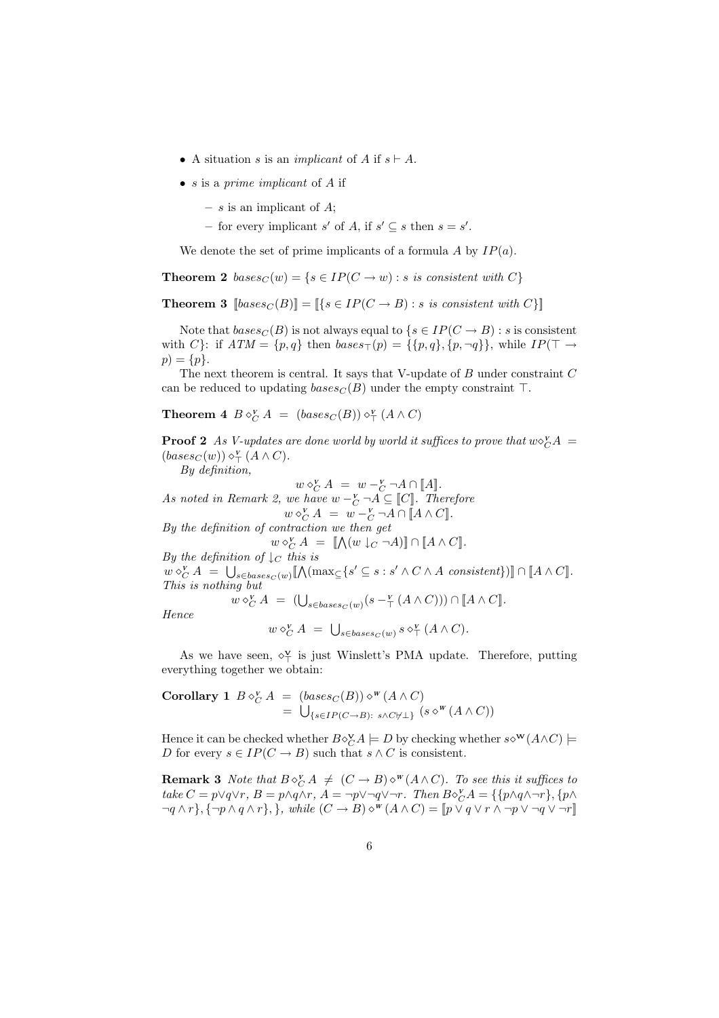- A situation s is an *implicant* of A if  $s \vdash A$ .
- s is a *prime implicant* of A if
	- $s$  is an implicant of A;
	- for every implicant s' of A, if  $s' \subseteq s$  then  $s = s'$ .

We denote the set of prime implicants of a formula A by  $IP(a)$ .

**Theorem 2**  $bases_C(w) = \{s \in IP(C \rightarrow w) : s \text{ is consistent with } C\}$ 

**Theorem 3**  $\llbracket bases_C(B) \rrbracket = \llbracket \{ s \in IP(C \rightarrow B) : s \text{ is consistent with } C \} \rrbracket$ 

Note that  $bases_C(B)$  is not always equal to  $\{s \in IP(C \rightarrow B) : s \text{ is consistent} \}$ with C}: if  $ATM = \{p, q\}$  then  $bases_{\top}(p) = \{\{p, q\}, \{p, \neg q\}\}\$ , while  $IP(\top \rightarrow$  $p) = \{p\}.$ 

The next theorem is central. It says that V-update of  $B$  under constraint  $C$ can be reduced to updating  $bases<sub>C</sub>(B)$  under the empty constraint T.

**Theorem 4**  $B \diamond^{\mathbf{v}}_C A = (bases_C(B)) \diamond^{\mathbf{v}}_{\top} (A \wedge C)$ 

**Proof 2** As V-updates are done world by world it suffices to prove that  $w \circ_C^v A =$  $(bases_C(w)) \diamond^V_\top (A \wedge C).$ 

By definition,

 $w \diamond^{\mathbf{v}}_C A = w -^{\mathbf{v}}_C \neg A \cap [ \hspace{-0.65mm} [ A ] \hspace{-0.65mm} ].$ As noted in Remark 2, we have  $w -C <sub>C</sub> \neg A \subseteq [C]$ . Therefore  $w \diamond^{\mathbf{v}}_C A = w -^{\mathbf{v}}_C \neg A \cap [A \wedge C].$ By the definition of contraction we then get  $\text{contraction we then get}$ <br> $w \diamond^{\mathbf{v}}_C A = [\![ \bigwedge (w \downarrow_C \neg A) ]\!] \cap [\![ A \wedge C ]\!]$ . By the definition of  $\downarrow_C$  this is  $w \diamond^{\mathbf{v}}_C A = \bigcup$  $\sup_{s \in bases_C(w)} \llbracket \bigwedge (\max_{\subseteq} \{s' \subseteq s : s' \land C \land A \text{ consistent}\}) \rrbracket \cap \llbracket A \land C \rrbracket.$ This is nothing but ng out<br>  $w \diamond^V_C A = (\bigcup_{s \in bases_C(w)} (s -^V_{\top} (A \wedge C))) \cap [A \wedge C]$ . Hence

 $w \diamond^{\mathbf{v}}_C A = \bigcup$  $_{s\in bases_C(w)}s\diamond^{\mathbf{v}}_{\top} (A\wedge C).$ 

As we have seen,  $\diamond^{\mathbf{V}}_T$  is just Winslett's PMA update. Therefore, putting everything together we obtain:

Corollary 1  $B \diamond^V_C A = (bases_C(B)) \diamond^W (A \wedge C)$ =  $\bigcup_{\{s \in IP(C \to B): s \land C \neq \bot\}} (s \diamond^w (A \land C))$ 

Hence it can be checked whether  $B \diamond^{\mathbf{V}}_C A \models D$  by checking whether  $s \diamond^{\mathbf{W}} (A \wedge C) \models$ D for every  $s \in IP(C \to B)$  such that  $s \wedge C$  is consistent.

**Remark 3** Note that  $B \diamond^{\mathbf{v}}_C A \neq (C \rightarrow B) \diamond^{\mathbf{w}} (A \wedge C)$ . To see this it suffices to take  $C = p \lor q \lor r$ ,  $B = p \land q \land r$ ,  $A = \neg p \lor \neg q \lor \neg r$ . Then  $B \diamond_C^v A = \{\{p \land q \land \neg r\}, \{p \land q \land \neg r\}, \{p \land q \land \neg r\}, \{p \land q \land \neg r\}, \{p \land q \land \neg r\} \}$  $\neg q \wedge r$ ,  $\{\neg p \wedge q \wedge r\}$ ,  $\}$ , while  $(C \rightarrow B) \diamond^W (A \wedge C) = [p \vee q \vee r \wedge \neg p \vee \neg q \vee \neg r]$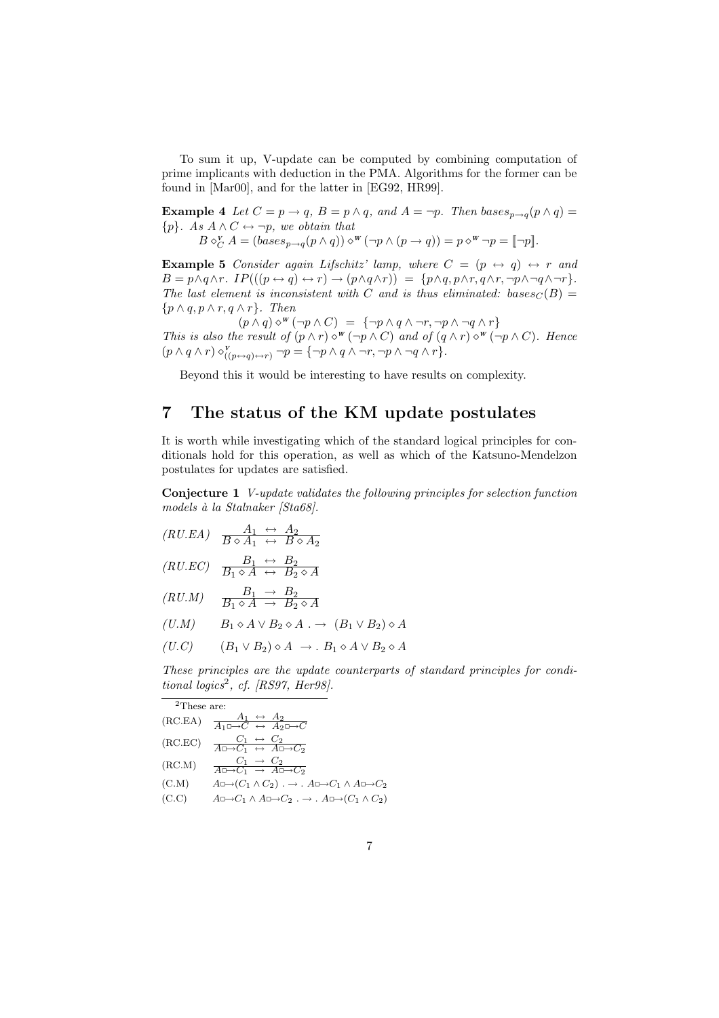To sum it up, V-update can be computed by combining computation of prime implicants with deduction in the PMA. Algorithms for the former can be found in [Mar00], and for the latter in [EG92, HR99].

Example 4 Let  $C = p \rightarrow q$ ,  $B = p \land q$ , and  $A = \neg p$ . Then  $bases_{p\rightarrow q}(p \land q) =$  ${p}.$  As  $A \wedge C \leftrightarrow \neg p$ , we obtain that  $B \diamond^{\mathbf{v}}_C A = (bases_{p\rightarrow q}(p \wedge q)) \diamond^{\mathbf{w}} (\neg p \wedge (p \rightarrow q)) = p \diamond^{\mathbf{w}} \neg p = [\neg p]$ .

**Example 5** Consider again Lifschitz' lamp, where  $C = (p \leftrightarrow q) \leftrightarrow r$  and  $B = p \wedge q \wedge r$ .  $IP(((p \leftrightarrow q) \leftrightarrow r) \rightarrow (p \wedge q \wedge r)) = \{p \wedge q, p \wedge r, q \wedge r, \neg p \wedge \neg q \wedge \neg r\}.$ The last element is inconsistent with C and is thus eliminated:  $base_C(B)$  =  $\{p \wedge q, p \wedge r, q \wedge r\}.$  Then

 $(p \wedge q) \diamond^{\mathbf{w}} (\neg p \wedge C) = \{\neg p \wedge q \wedge \neg r, \neg p \wedge \neg q \wedge r\}$ This is also the result of  $(p \wedge r) \diamond^w (\neg p \wedge C)$  and of  $(q \wedge r) \diamond^w (\neg p \wedge C)$ . Hence  $(p \wedge q \wedge r) \diamond^V_{((p \leftrightarrow q) \leftrightarrow r)} \neg p = {\neg p \wedge q \wedge \neg r, \neg p \wedge \neg q \wedge r}.$ 

Beyond this it would be interesting to have results on complexity.

### 7 The status of the KM update postulates

It is worth while investigating which of the standard logical principles for conditionals hold for this operation, as well as which of the Katsuno-Mendelzon postulates for updates are satisfied.

Conjecture 1 V-update validates the following principles for selection function models à la Stalnaker [Sta68].

 $(RU.EA) \quad \frac{A_1 \leftrightarrow A_2}{B \diamond A_1 \leftrightarrow B \diamond A_2}$ 

$$
(RU.EC) \quad \frac{B_1}{B_1 \diamond A \quad \leftrightarrow \quad B_2}{B_2 \diamond A}
$$

$$
(RU.M) \quad \frac{B_1 \rightarrow B_2}{B_1 \diamond A \rightarrow B_2 \diamond A}
$$

 $(U.M)$   $B_1 \diamond A \vee B_2 \diamond A \rightarrow (B_1 \vee B_2) \diamond A$ 

$$
(U.C) \qquad (B_1 \vee B_2) \diamond A \rightarrow . \ B_1 \diamond A \vee B_2 \diamond A
$$

These principles are the update counterparts of standard principles for conditional logics<sup>2</sup>, cf. [RS97, Her98].

<sup>2</sup>These are:  $(RC.EA)$   $\frac{A_1 \leftrightarrow A_2}{A_1 \Box \rightarrow C \leftrightarrow A_2 \Box \rightarrow C}$  $(RC.EC)$   $\frac{C_1 \leftrightarrow C_2}{A \square \rightarrow C_1 \leftrightarrow A \square \rightarrow C_2}$  $(RC.M)$   $\frac{C_1 \rightarrow C_2}{A \square \rightarrow C_1 \rightarrow A \square \rightarrow C_2}$  $(C.M)$   $A\Box \rightarrow (C_1 \land C_2) . \rightarrow . A\Box \rightarrow C_1 \land A\Box \rightarrow C_2$ 

(C.C) 
$$
A \Box \rightarrow C_1 \land A \Box \rightarrow C_2 \rightarrow \land A \Box \rightarrow (C_1 \land C_2)
$$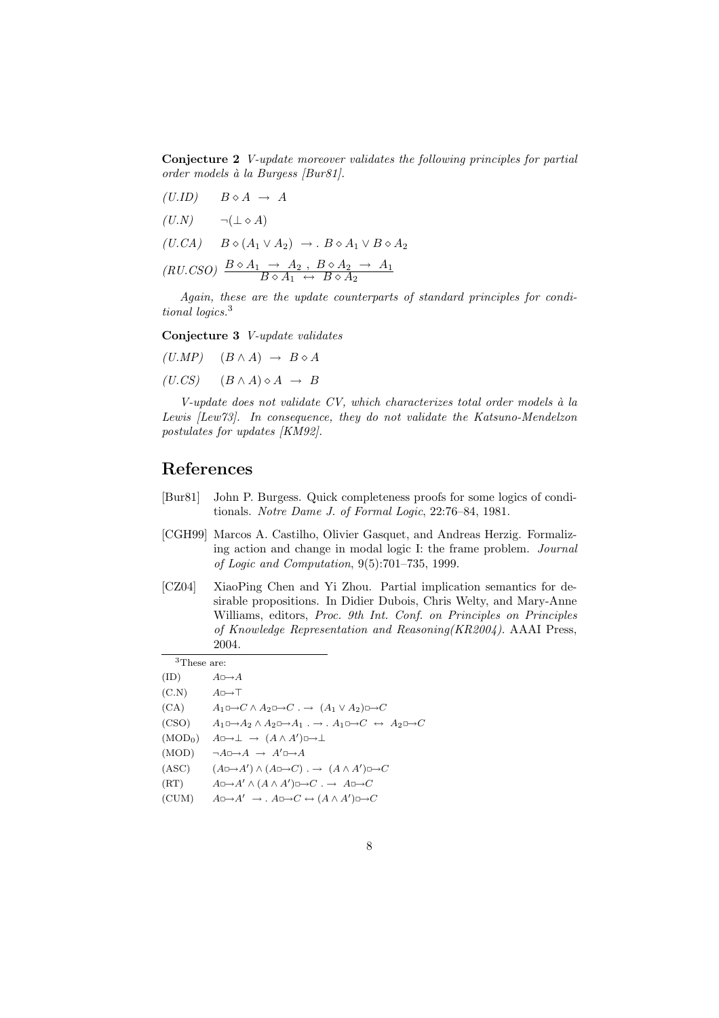Conjecture 2 V-update moreover validates the following principles for partial order models `a la Burgess [Bur81].

$$
(U.ID) \qquad B \diamond A \ \rightarrow \ A
$$

$$
(U.N) \qquad \neg(\bot \diamond A)
$$

$$
(U.CA) \qquad B \diamond (A_1 \vee A_2) \rightarrow . \quad B \diamond A_1 \vee B \diamond A_2
$$

$$
(RU. CSO) \xrightarrow{B \diamond A_1 \rightarrow A_2, B \diamond A_2 \rightarrow A_1} B \diamond A_2 \rightarrow A_1
$$

Again, these are the update counterparts of standard principles for conditional logics.<sup>3</sup>

Conjecture 3 V-update validates

$$
(U.MP) \quad (B \wedge A) \rightarrow B \diamond A
$$

$$
(U.CS) \quad (B \wedge A) \diamond A \rightarrow B
$$

 $V$ -update does not validate  $CV$ , which characterizes total order models à la Lewis [Lew73]. In consequence, they do not validate the Katsuno-Mendelzon postulates for updates [KM92].

### References

- [Bur81] John P. Burgess. Quick completeness proofs for some logics of conditionals. Notre Dame J. of Formal Logic, 22:76–84, 1981.
- [CGH99] Marcos A. Castilho, Olivier Gasquet, and Andreas Herzig. Formalizing action and change in modal logic I: the frame problem. Journal of Logic and Computation, 9(5):701–735, 1999.
- [CZ04] XiaoPing Chen and Yi Zhou. Partial implication semantics for desirable propositions. In Didier Dubois, Chris Welty, and Mary-Anne Williams, editors, Proc. 9th Int. Conf. on Principles on Principles of Knowledge Representation and Reasoning(KR2004). AAAI Press, 2004.

| <sup>3</sup> These are: |                                                                                                                                     |
|-------------------------|-------------------------------------------------------------------------------------------------------------------------------------|
| (ID)                    | $A \Box \rightarrow A$                                                                                                              |
| (C.N)                   | $A \rightarrow T$                                                                                                                   |
| (CA)                    | $A_1 \Box \rightarrow C \land A_2 \Box \rightarrow C \rightarrow (A_1 \lor A_2) \Box \rightarrow C$                                 |
| (CSO)                   | $A_1 \Box \rightarrow A_2 \land A_2 \Box \rightarrow A_1 \rightarrow A_1 \Box \rightarrow C \leftrightarrow A_2 \Box \rightarrow C$ |
| (MOD <sub>0</sub> )     | $A \Box \rightarrow \bot \rightarrow (A \land A') \Box \rightarrow \bot$                                                            |
| (MOD)                   | $\neg A \Box \rightarrow A \rightarrow A' \Box \rightarrow A$                                                                       |
| (ASC)                   | $(A\Box\rightarrow A') \wedge (A\Box\rightarrow C) \rightarrow (A \wedge A') \Box\rightarrow C$                                     |
| (RT)                    | $A\Box\rightarrow A'\land (A\land A')\Box\rightarrow C\_\rightarrow A\Box\rightarrow C$                                             |
| (CUM)                   | $A\Box\rightarrow A'\rightarrow A\Box\rightarrow C\leftrightarrow (A\wedge A')\Box\rightarrow C$                                    |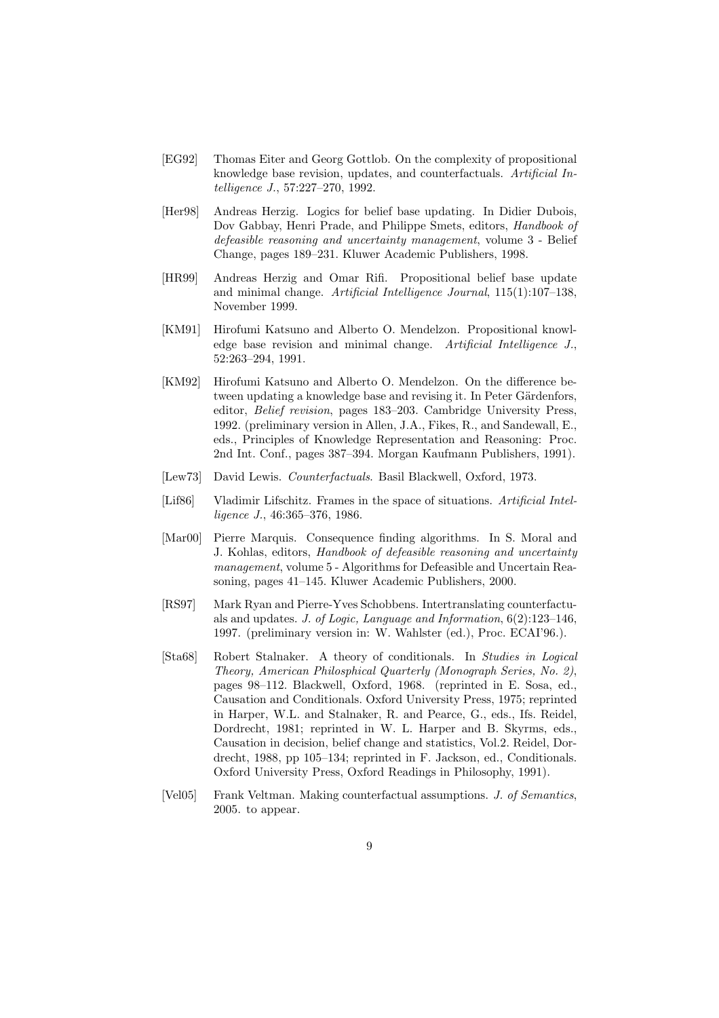- [EG92] Thomas Eiter and Georg Gottlob. On the complexity of propositional knowledge base revision, updates, and counterfactuals. Artificial Intelligence J., 57:227–270, 1992.
- [Her98] Andreas Herzig. Logics for belief base updating. In Didier Dubois, Dov Gabbay, Henri Prade, and Philippe Smets, editors, Handbook of defeasible reasoning and uncertainty management, volume 3 - Belief Change, pages 189–231. Kluwer Academic Publishers, 1998.
- [HR99] Andreas Herzig and Omar Rifi. Propositional belief base update and minimal change. Artificial Intelligence Journal, 115(1):107–138, November 1999.
- [KM91] Hirofumi Katsuno and Alberto O. Mendelzon. Propositional knowledge base revision and minimal change. Artificial Intelligence J., 52:263–294, 1991.
- [KM92] Hirofumi Katsuno and Alberto O. Mendelzon. On the difference between updating a knowledge base and revising it. In Peter Gärdenfors, editor, Belief revision, pages 183–203. Cambridge University Press, 1992. (preliminary version in Allen, J.A., Fikes, R., and Sandewall, E., eds., Principles of Knowledge Representation and Reasoning: Proc. 2nd Int. Conf., pages 387–394. Morgan Kaufmann Publishers, 1991).
- [Lew73] David Lewis. Counterfactuals. Basil Blackwell, Oxford, 1973.
- [Lif86] Vladimir Lifschitz. Frames in the space of situations. Artificial Intelligence J., 46:365–376, 1986.
- [Mar00] Pierre Marquis. Consequence finding algorithms. In S. Moral and J. Kohlas, editors, Handbook of defeasible reasoning and uncertainty management, volume 5 - Algorithms for Defeasible and Uncertain Reasoning, pages 41–145. Kluwer Academic Publishers, 2000.
- [RS97] Mark Ryan and Pierre-Yves Schobbens. Intertranslating counterfactuals and updates. J. of Logic, Language and Information, 6(2):123–146, 1997. (preliminary version in: W. Wahlster (ed.), Proc. ECAI'96.).
- [Sta68] Robert Stalnaker. A theory of conditionals. In Studies in Logical Theory, American Philosphical Quarterly (Monograph Series, No. 2), pages 98–112. Blackwell, Oxford, 1968. (reprinted in E. Sosa, ed., Causation and Conditionals. Oxford University Press, 1975; reprinted in Harper, W.L. and Stalnaker, R. and Pearce, G., eds., Ifs. Reidel, Dordrecht, 1981; reprinted in W. L. Harper and B. Skyrms, eds., Causation in decision, belief change and statistics, Vol.2. Reidel, Dordrecht, 1988, pp 105–134; reprinted in F. Jackson, ed., Conditionals. Oxford University Press, Oxford Readings in Philosophy, 1991).
- [Vel05] Frank Veltman. Making counterfactual assumptions. J. of Semantics, 2005. to appear.